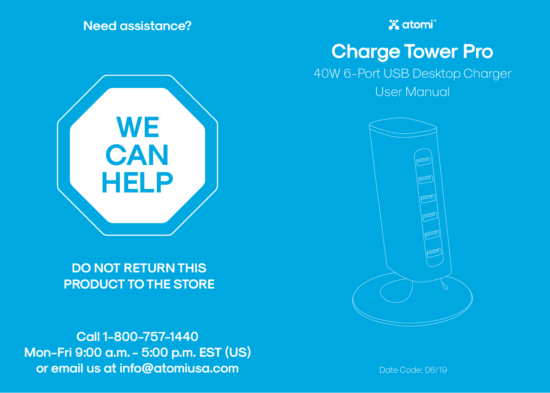**Need assistance?**



**DO NOT RETURN THIS PRODUCT TO THE STORE**

**Call 1-800-757-1440 Mon-Fri 9:00 a.m. - 5:00 p.m. EST (US) or email us at info@atomiusa.com** Date Code: 06/19

**X** atomi

# **Charge Tower Pro**

40W 6-Port USB Desktop Charger

User Manual

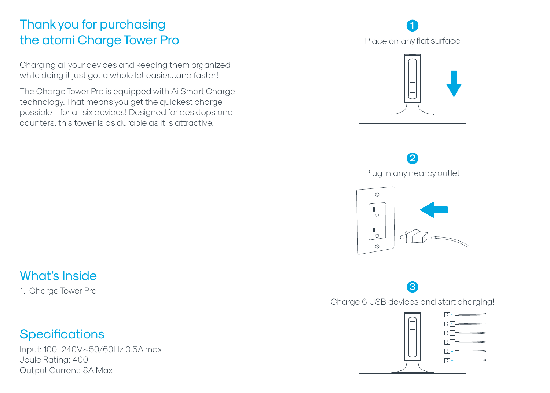### Thank you for purchasing the atomi Charge Tower Pro

Charging all your devices and keeping them organized while doing it just got a whole lot easier…and faster!

The Charge Tower Pro is equipped with Ai Smart Charge technology. That means you get the quickest charge possible—for all six devices! Designed for desktops and counters, this tower is as durable as it is attractive.

### **1**Place on any flat surface



**2** Plug in any nearby outlet



#### What's Inside

1. Charge Tower Pro

#### **Specifications**

Input: 100-240V~50/60Hz 0.5A max Joule Rating: 400 Output Current: 8A Max

## **3**

Charge 6 USB devices and start charging!